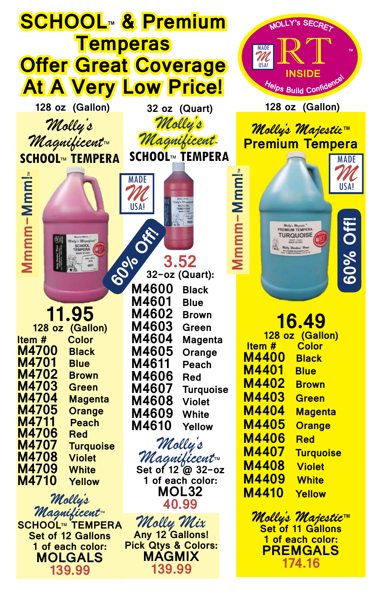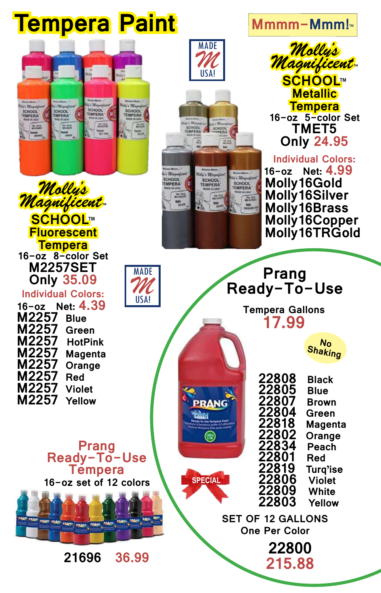## **Tempera Paint**









**SPECIAL**



**Tempera 16-oz 5-color Set TMET5 Only 24.95**

## **Individual Colors:**

 **16-oz Net: 4.99 Molly16Gold Molly16Silver Molly16Brass Molly16Copper Molly16TRGold**



*Molly's Magnificent***™**

**SCHOOL™**

**Fluorescent** 

**16-oz Net: 4.39 M2257 Blue M2257 M2257 HotPink M2257 Magenta M2257 Orange M2257 M2257 Violet M2257** 

**Prang Ready-To-Use Tempera**

**16-oz set of 12 colors**

PRANG PRANG

**21696 36.99**





**Tempera Gallons 17.99**

**No Shaking**

| 22808        | Black          |
|--------------|----------------|
| 22805        | <b>Blue</b>    |
| 22807        | <b>Brown</b>   |
| 22804        | Green          |
| 22818        | <b>Magenta</b> |
| 22802        | Orange         |
| 22834        | <b>Peach</b>   |
| 22801        | Red            |
| 22819        | Turq'ise       |
| <b>22806</b> | <b>Violet</b>  |
| <b>22809</b> | White          |
| 22803        | Yellow         |
|              |                |

**SET OF 12 GALLONS One Per Color**

> **22800 215.88**